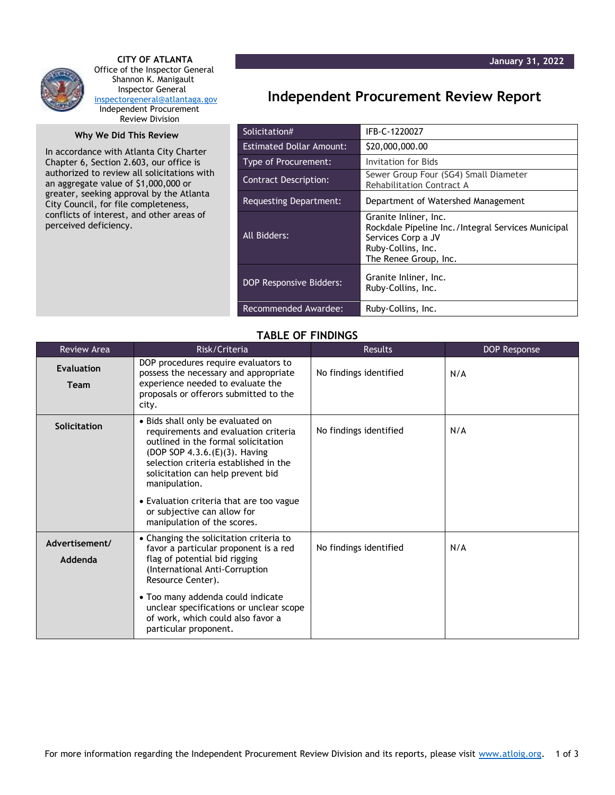

 **CITY OF ATLANTA** Office of the Inspector General Shannon K. Manigault Inspector General [inspectorgeneral@atlantaga.gov](mailto:inspectorgeneral@atlantaga.gov) Independent Procurement Review Division

## **Why We Did This Review**

In accordance with Atlanta City Charter Chapter 6, Section 2.603, our office is authorized to review all solicitations with an aggregate value of \$1,000,000 or greater, seeking approval by the Atlanta City Council, for file completeness, conflicts of interest, and other areas of perceived deficiency.

## **Independent Procurement Review Report**

| Solicitation#                   | IFB-C-1220027                                                                                                                                    |  |
|---------------------------------|--------------------------------------------------------------------------------------------------------------------------------------------------|--|
| <b>Estimated Dollar Amount:</b> | \$20,000,000.00                                                                                                                                  |  |
| Type of Procurement:            | Invitation for Bids                                                                                                                              |  |
| <b>Contract Description:</b>    | Sewer Group Four (SG4) Small Diameter<br>Rehabilitation Contract A                                                                               |  |
| Requesting Department:          | Department of Watershed Management                                                                                                               |  |
| All Bidders:                    | Granite Inliner, Inc.<br>Rockdale Pipeline Inc./Integral Services Municipal<br>Services Corp a JV<br>Ruby-Collins, Inc.<br>The Renee Group, Inc. |  |
| <b>DOP Responsive Bidders:</b>  | Granite Inliner, Inc.<br>Ruby-Collins, Inc.                                                                                                      |  |
| Recommended Awardee:            | Ruby-Collins, Inc.                                                                                                                               |  |

## **TABLE OF FINDINGS**

| <b>Review Area</b>        | Risk/Criteria                                                                                                                                                                                                                                                                                                                                              | <b>Results</b>         | DOP Response |
|---------------------------|------------------------------------------------------------------------------------------------------------------------------------------------------------------------------------------------------------------------------------------------------------------------------------------------------------------------------------------------------------|------------------------|--------------|
| <b>Evaluation</b><br>Team | DOP procedures require evaluators to<br>possess the necessary and appropriate<br>experience needed to evaluate the<br>proposals or offerors submitted to the<br>city.                                                                                                                                                                                      | No findings identified | N/A          |
| Solicitation              | • Bids shall only be evaluated on<br>requirements and evaluation criteria<br>outlined in the formal solicitation<br>(DOP SOP 4.3.6.(E)(3). Having<br>selection criteria established in the<br>solicitation can help prevent bid<br>manipulation.<br>• Evaluation criteria that are too vague<br>or subjective can allow for<br>manipulation of the scores. | No findings identified | N/A          |
| Advertisement/<br>Addenda | • Changing the solicitation criteria to<br>favor a particular proponent is a red<br>flag of potential bid rigging<br>(International Anti-Corruption<br>Resource Center).<br>• Too many addenda could indicate<br>unclear specifications or unclear scope<br>of work, which could also favor a<br>particular proponent.                                     | No findings identified | N/A          |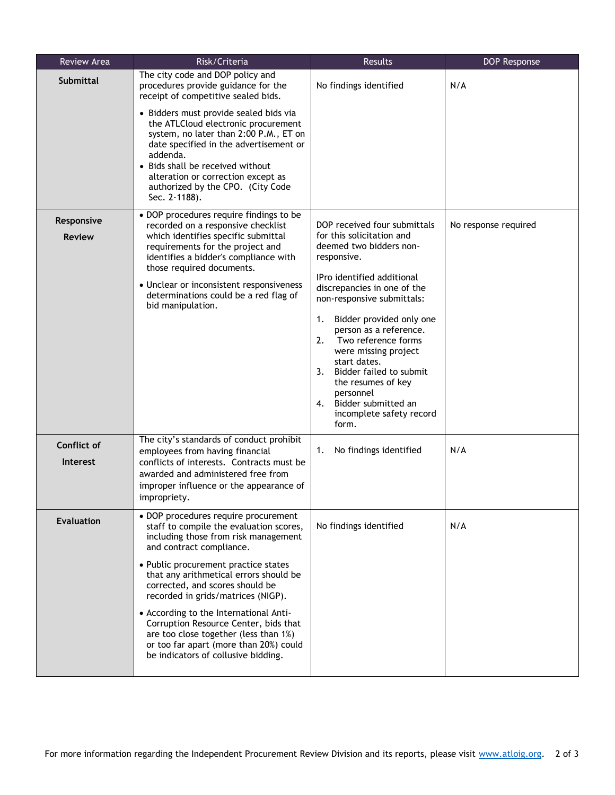| Review Area                 | Risk/Criteria                                                                                                                                                                                                                                                                                                                                                                                                                                                                                                               | Results                                                                                                                                                                                                                                                                                                                                                                                                                                                            | DOP Response         |
|-----------------------------|-----------------------------------------------------------------------------------------------------------------------------------------------------------------------------------------------------------------------------------------------------------------------------------------------------------------------------------------------------------------------------------------------------------------------------------------------------------------------------------------------------------------------------|--------------------------------------------------------------------------------------------------------------------------------------------------------------------------------------------------------------------------------------------------------------------------------------------------------------------------------------------------------------------------------------------------------------------------------------------------------------------|----------------------|
| <b>Submittal</b>            | The city code and DOP policy and<br>procedures provide guidance for the<br>receipt of competitive sealed bids.                                                                                                                                                                                                                                                                                                                                                                                                              | No findings identified                                                                                                                                                                                                                                                                                                                                                                                                                                             | N/A                  |
|                             | • Bidders must provide sealed bids via<br>the ATLCloud electronic procurement<br>system, no later than 2:00 P.M., ET on<br>date specified in the advertisement or<br>addenda.<br>• Bids shall be received without<br>alteration or correction except as<br>authorized by the CPO. (City Code<br>Sec. 2-1188).                                                                                                                                                                                                               |                                                                                                                                                                                                                                                                                                                                                                                                                                                                    |                      |
| Responsive<br><b>Review</b> | • DOP procedures require findings to be<br>recorded on a responsive checklist<br>which identifies specific submittal<br>requirements for the project and<br>identifies a bidder's compliance with<br>those required documents.<br>• Unclear or inconsistent responsiveness<br>determinations could be a red flag of<br>bid manipulation.                                                                                                                                                                                    | DOP received four submittals<br>for this solicitation and<br>deemed two bidders non-<br>responsive.<br>IPro identified additional<br>discrepancies in one of the<br>non-responsive submittals:<br>Bidder provided only one<br>1.<br>person as a reference.<br>2.<br>Two reference forms<br>were missing project<br>start dates.<br>Bidder failed to submit<br>3.<br>the resumes of key<br>personnel<br>4. Bidder submitted an<br>incomplete safety record<br>form. | No response required |
| Conflict of<br>Interest     | The city's standards of conduct prohibit<br>employees from having financial<br>conflicts of interests. Contracts must be<br>awarded and administered free from<br>improper influence or the appearance of<br>impropriety.                                                                                                                                                                                                                                                                                                   | No findings identified<br>1.                                                                                                                                                                                                                                                                                                                                                                                                                                       | N/A                  |
| <b>Evaluation</b>           | • DOP procedures require procurement<br>staff to compile the evaluation scores,<br>including those from risk management<br>and contract compliance.<br>• Public procurement practice states<br>that any arithmetical errors should be<br>corrected, and scores should be<br>recorded in grids/matrices (NIGP).<br>• According to the International Anti-<br>Corruption Resource Center, bids that<br>are too close together (less than 1%)<br>or too far apart (more than 20%) could<br>be indicators of collusive bidding. | No findings identified                                                                                                                                                                                                                                                                                                                                                                                                                                             | N/A                  |